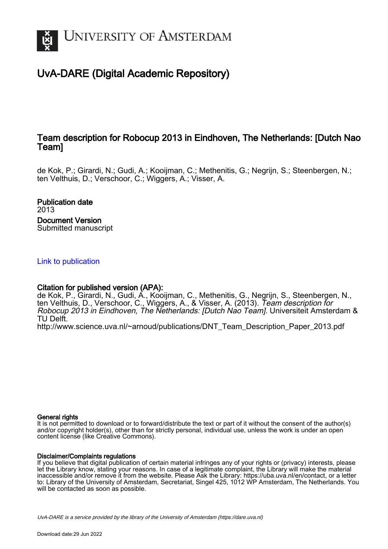

# UvA-DARE (Digital Academic Repository)

## Team description for Robocup 2013 in Eindhoven, The Netherlands: [Dutch Nao Team]

de Kok, P.; Girardi, N.; Gudi, A.; Kooijman, C.; Methenitis, G.; Negrijn, S.; Steenbergen, N.; ten Velthuis, D.; Verschoor, C.; Wiggers, A.; Visser, A.

Publication date 2013 Document Version Submitted manuscript

## [Link to publication](https://dare.uva.nl/personal/pure/en/publications/team-description-for-robocup-2013-in-eindhoven-the-netherlands-dutch-nao-team(7c004b23-ffb4-472f-8bca-c4dd1bfc0fcb).html)

## Citation for published version (APA):

de Kok, P., Girardi, N., Gudi, A., Kooijman, C., Methenitis, G., Negrijn, S., Steenbergen, N., ten Velthuis, D., Verschoor, C., Wiggers, A., & Visser, A. (2013). Team description for Robocup 2013 in Eindhoven, The Netherlands: [Dutch Nao Team]. Universiteit Amsterdam & TU Delft.

[http://www.science.uva.nl/~arnoud/publications/DNT\\_Team\\_Description\\_Paper\\_2013.pdf](http://www.science.uva.nl/~arnoud/publications/DNT_Team_Description_Paper_2013.pdf)

## General rights

It is not permitted to download or to forward/distribute the text or part of it without the consent of the author(s) and/or copyright holder(s), other than for strictly personal, individual use, unless the work is under an open content license (like Creative Commons).

## Disclaimer/Complaints regulations

If you believe that digital publication of certain material infringes any of your rights or (privacy) interests, please let the Library know, stating your reasons. In case of a legitimate complaint, the Library will make the material inaccessible and/or remove it from the website. Please Ask the Library: https://uba.uva.nl/en/contact, or a letter to: Library of the University of Amsterdam, Secretariat, Singel 425, 1012 WP Amsterdam, The Netherlands. You will be contacted as soon as possible.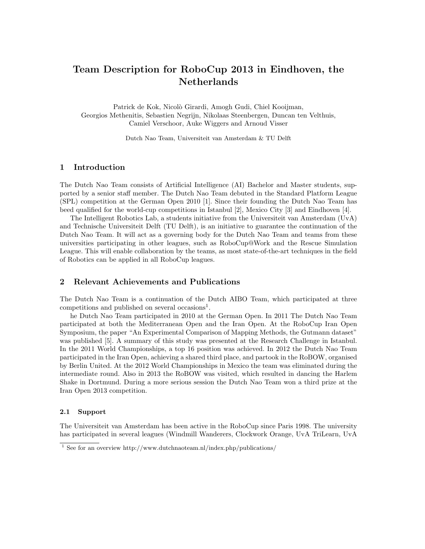## Team Description for RoboCup 2013 in Eindhoven, the Netherlands

Patrick de Kok, Nicolò Girardi, Amogh Gudi, Chiel Kooijman, Georgios Methenitis, Sebastien Negrijn, Nikolaas Steenbergen, Duncan ten Velthuis, Camiel Verschoor, Auke Wiggers and Arnoud Visser

Dutch Nao Team, Universiteit van Amsterdam & TU Delft

## 1 Introduction

The Dutch Nao Team consists of Artificial Intelligence (AI) Bachelor and Master students, supported by a senior staff member. The Dutch Nao Team debuted in the Standard Platform League (SPL) competition at the German Open 2010 [1]. Since their founding the Dutch Nao Team has beed qualified for the world-cup competitions in Istanbul [2], Mexico City [3] and Eindhoven [4].

The Intelligent Robotics Lab, a students initiative from the Universiteit van Amsterdam (UvA) and Technische Universiteit Delft (TU Delft), is an initiative to guarantee the continuation of the Dutch Nao Team. It will act as a governing body for the Dutch Nao Team and teams from these universities participating in other leagues, such as RoboCup@Work and the Rescue Simulation League. This will enable collaboration by the teams, as most state-of-the-art techniques in the field of Robotics can be applied in all RoboCup leagues.

## 2 Relevant Achievements and Publications

The Dutch Nao Team is a continuation of the Dutch AIBO Team, which participated at three competitions and published on several occasions<sup>1</sup>.

he Dutch Nao Team participated in 2010 at the German Open. In 2011 The Dutch Nao Team participated at both the Mediterranean Open and the Iran Open. At the RoboCup Iran Open Symposium, the paper "An Experimental Comparison of Mapping Methods, the Gutmann dataset" was published [5]. A summary of this study was presented at the Research Challenge in Istanbul. In the 2011 World Championships, a top 16 position was achieved. In 2012 the Dutch Nao Team participated in the Iran Open, achieving a shared third place, and partook in the RoBOW, organised by Berlin United. At the 2012 World Championships in Mexico the team was eliminated during the intermediate round. Also in 2013 the RoBOW was visited, which resulted in dancing the Harlem Shake in Dortmund. During a more serious session the Dutch Nao Team won a third prize at the Iran Open 2013 competition.

#### 2.1 Support

The Universiteit van Amsterdam has been active in the RoboCup since Paris 1998. The university has participated in several leagues (Windmill Wanderers, Clockwork Orange, UvA TriLearn, UvA

<sup>&</sup>lt;sup>1</sup> See for an overview http://www.dutchnaoteam.nl/index.php/publications/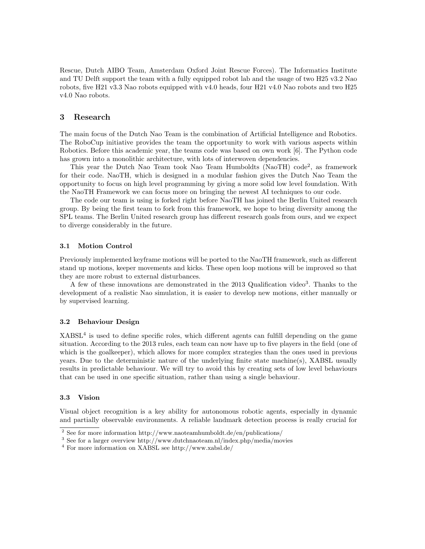Rescue, Dutch AIBO Team, Amsterdam Oxford Joint Rescue Forces). The Informatics Institute and TU Delft support the team with a fully equipped robot lab and the usage of two H25 v3.2 Nao robots, five H21 v3.3 Nao robots equipped with v4.0 heads, four H21 v4.0 Nao robots and two H25 v4.0 Nao robots.

#### 3 Research

The main focus of the Dutch Nao Team is the combination of Artificial Intelligence and Robotics. The RoboCup initiative provides the team the opportunity to work with various aspects within Robotics. Before this academic year, the teams code was based on own work [6]. The Python code has grown into a monolithic architecture, with lots of interwoven dependencies.

This year the Dutch Nao Team took Nao Team Humboldts (NaoTH) code<sup>2</sup>, as framework for their code. NaoTH, which is designed in a modular fashion gives the Dutch Nao Team the opportunity to focus on high level programming by giving a more solid low level foundation. With the NaoTH Framework we can focus more on bringing the newest AI techniques to our code.

The code our team is using is forked right before NaoTH has joined the Berlin United research group. By being the first team to fork from this framework, we hope to bring diversity among the SPL teams. The Berlin United research group has different research goals from ours, and we expect to diverge considerably in the future.

#### 3.1 Motion Control

Previously implemented keyframe motions will be ported to the NaoTH framework, such as different stand up motions, keeper movements and kicks. These open loop motions will be improved so that they are more robust to external disturbances.

A few of these innovations are demonstrated in the 2013 Qualification video<sup>3</sup>. Thanks to the development of a realistic Nao simulation, it is easier to develop new motions, either manually or by supervised learning.

#### 3.2 Behaviour Design

 $XABSL<sup>4</sup>$  is used to define specific roles, which different agents can fulfill depending on the game situation. According to the 2013 rules, each team can now have up to five players in the field (one of which is the goalkeeper), which allows for more complex strategies than the ones used in previous years. Due to the deterministic nature of the underlying finite state machine(s), XABSL usually results in predictable behaviour. We will try to avoid this by creating sets of low level behaviours that can be used in one specific situation, rather than using a single behaviour.

#### 3.3 Vision

Visual object recognition is a key ability for autonomous robotic agents, especially in dynamic and partially observable environments. A reliable landmark detection process is really crucial for

 $\overline{\text{ }^2}$  See for more information http://www.naoteamhumboldt.de/en/publications/

<sup>&</sup>lt;sup>3</sup> See for a larger overview http://www.dutchnaoteam.nl/index.php/media/movies

<sup>4</sup> For more information on XABSL see http://www.xabsl.de/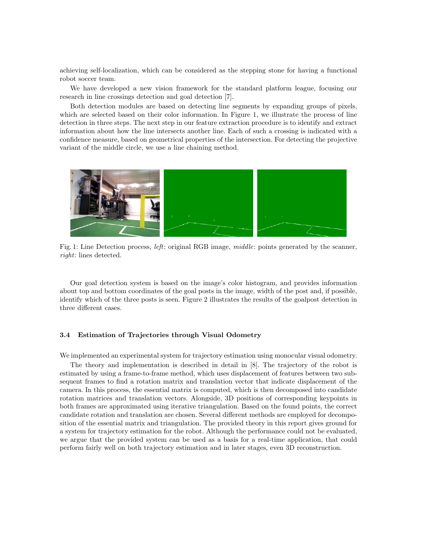achieving self-localization, which can be considered as the stepping stone for having a functional robot soccer team.

We have developed a new vision framework for the standard platform league, focusing our research in line crossings detection and goal detection [7].

Both detection modules are based on detecting line segments by expanding groups of pixels, which are selected based on their color information. In Figure 1, we illustrate the process of line detection in three steps. The next step in our feature extraction procedure is to identify and extract information about how the line intersects another line. Each of such a crossing is indicated with a confidence measure, based on geometrical properties of the intersection. For detecting the projective variant of the middle circle, we use a line chaining method.



Fig. 1: Line Detection process, left: original RGB image, middle: points generated by the scanner, right: lines detected.

Our goal detection system is based on the image's color histogram, and provides information about top and bottom coordinates of the goal posts in the image, width of the post and, if possible, identify which of the three posts is seen. Figure 2 illustrates the results of the goalpost detection in three different cases.

#### 3.4 Estimation of Trajectories through Visual Odometry

We implemented an experimental system for trajectory estimation using monocular visual odometry.

The theory and implementation is described in detail in [8]. The trajectory of the robot is estimated by using a frame-to-frame method, which uses displacement of features between two subsequent frames to find a rotation matrix and translation vector that indicate displacement of the camera. In this process, the essential matrix is computed, which is then decomposed into candidate rotation matrices and translation vectors. Alongside, 3D positions of corresponding keypoints in both frames are approximated using iterative triangulation. Based on the found points, the correct candidate rotation and translation are chosen. Several different methods are employed for decomposition of the essential matrix and triangulation. The provided theory in this report gives ground for a system for trajectory estimation for the robot. Although the performance could not be evaluated, we argue that the provided system can be used as a basis for a real-time application, that could perform fairly well on both trajectory estimation and in later stages, even 3D reconstruction.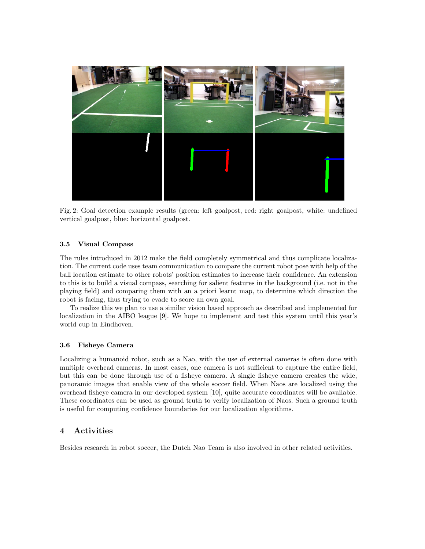

Fig. 2: Goal detection example results (green: left goalpost, red: right goalpost, white: undefined vertical goalpost, blue: horizontal goalpost.

#### 3.5 Visual Compass

The rules introduced in 2012 make the field completely symmetrical and thus complicate localization. The current code uses team communication to compare the current robot pose with help of the ball location estimate to other robots' position estimates to increase their confidence. An extension to this is to build a visual compass, searching for salient features in the background (i.e. not in the playing field) and comparing them with an a priori learnt map, to determine which direction the robot is facing, thus trying to evade to score an own goal.

To realize this we plan to use a similar vision based approach as described and implemented for localization in the AIBO league [9]. We hope to implement and test this system until this year's world cup in Eindhoven.

#### 3.6 Fisheye Camera

Localizing a humanoid robot, such as a Nao, with the use of external cameras is often done with multiple overhead cameras. In most cases, one camera is not sufficient to capture the entire field, but this can be done through use of a fisheye camera. A single fisheye camera creates the wide, panoramic images that enable view of the whole soccer field. When Naos are localized using the overhead fisheye camera in our developed system [10], quite accurate coordinates will be available. These coordinates can be used as ground truth to verify localization of Naos. Such a ground truth is useful for computing confidence boundaries for our localization algorithms.

## 4 Activities

Besides research in robot soccer, the Dutch Nao Team is also involved in other related activities.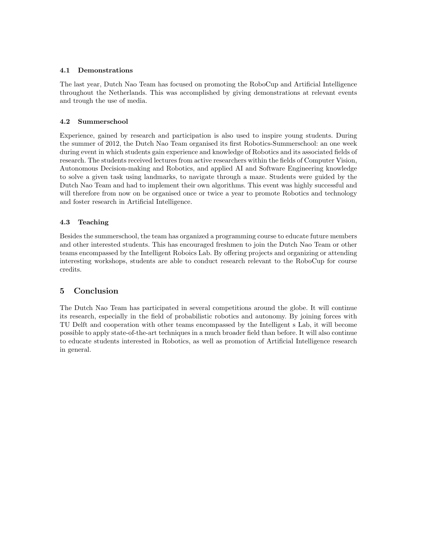#### 4.1 Demonstrations

The last year, Dutch Nao Team has focused on promoting the RoboCup and Artificial Intelligence throughout the Netherlands. This was accomplished by giving demonstrations at relevant events and trough the use of media.

## 4.2 Summerschool

Experience, gained by research and participation is also used to inspire young students. During the summer of 2012, the Dutch Nao Team organised its first Robotics-Summerschool: an one week during event in which students gain experience and knowledge of Robotics and its associated fields of research. The students received lectures from active researchers within the fields of Computer Vision, Autonomous Decision-making and Robotics, and applied AI and Software Engineering knowledge to solve a given task using landmarks, to navigate through a maze. Students were guided by the Dutch Nao Team and had to implement their own algorithms. This event was highly successful and will therefore from now on be organised once or twice a year to promote Robotics and technology and foster research in Artificial Intelligence.

### 4.3 Teaching

Besides the summerschool, the team has organized a programming course to educate future members and other interested students. This has encouraged freshmen to join the Dutch Nao Team or other teams encompassed by the Intelligent Roboics Lab. By offering projects and organizing or attending interesting workshops, students are able to conduct research relevant to the RoboCup for course credits.

## 5 Conclusion

The Dutch Nao Team has participated in several competitions around the globe. It will continue its research, especially in the field of probabilistic robotics and autonomy. By joining forces with TU Delft and cooperation with other teams encompassed by the Intelligent s Lab, it will become possible to apply state-of-the-art techniques in a much broader field than before. It will also continue to educate students interested in Robotics, as well as promotion of Artificial Intelligence research in general.